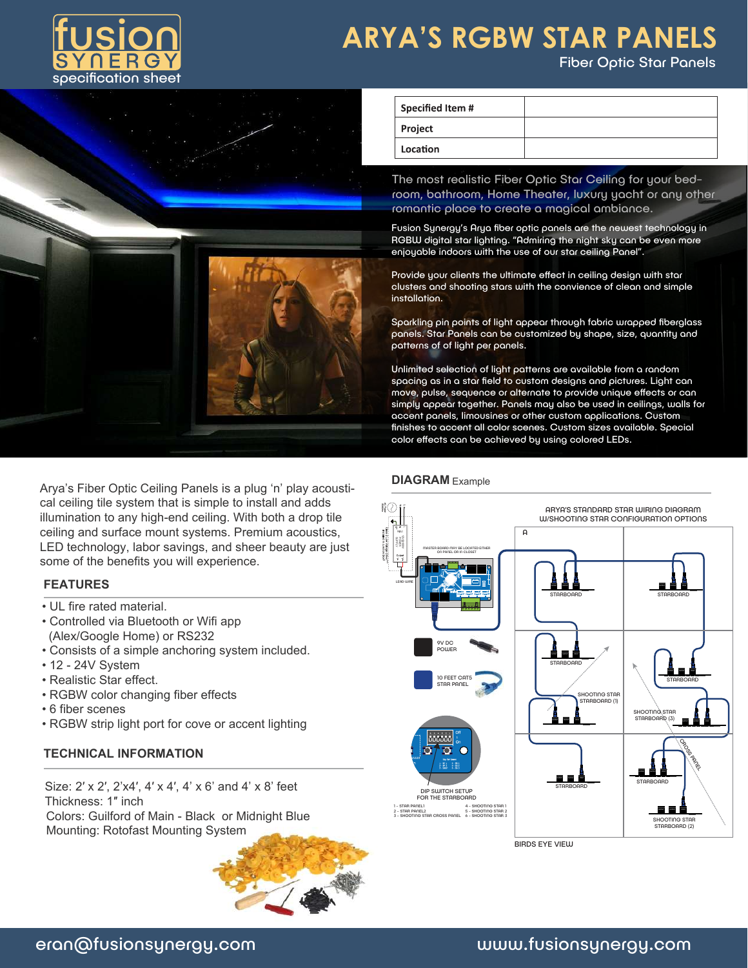

Fiber Optic Star Panels



Arya's Fiber Optic Ceiling Panels is a plug 'n' play acoustical ceiling tile system that is simple to install and adds illumination to any high-end ceiling. With both a drop tile ceiling and surface mount systems. Premium acoustics, LED technology, labor savings, and sheer beauty are just some of the benefits you will experience.

### **FEATURES**

- UL fire rated material.
- Controlled via Bluetooth or Wifi app (Alex/Google Home) or RS232
- Consists of a simple anchoring system included.
- 12 24V System
- Realistic Star effect.
- RGBW color changing fiber effects
- 6 fiber scenes
- RGBW strip light port for cove or accent lighting

### **TECHNICAL INFORMATION**

Size: 2' x 2', 2'x4', 4' x 4', 4' x 6' and 4' x 8' feet Thickness: 1″ inch Colors: Guilford of Main - Black or Midnight Blue Mounting: Rotofast Mounting System



| Specified Item # |  |
|------------------|--|
| Project          |  |
| Location         |  |

The most realistic Fiber Optic Star Ceiling for your bedroom, bathroom, Home Theater, luxury yacht or any other romantic place to create a magical ambiance.

Fusion Synergy's Arya fiber optic panels are the newest technology in RGBW digital star lighting. "Admiring the night sky can be even more enjoyable indoors with the use of our star ceiling Panel".

Provide your clients the ultimate effect in ceiling design with star clusters and shooting stars with the convience of clean and simple installation.

Sparkling pin points of light appear through fabric wrapped fiberglass panels. Star Panels can be customized by shape, size, quantity and patterns of of light per panels.

Unlimited selection of light patterns are available from a random spacing as in a star field to custom designs and pictures. Light can move, pulse, sequence or alternate to provide unique effects or can simply appear together. Panels may also be used in ceilings, walls for accent panels, limousines or other custom applications. Custom finishes to accent all color scenes. Custom sizes available. Special color effects can be achieved by using colored LEDs.

### **DIAGRAM** Example



**BIRDS EYE VIEW**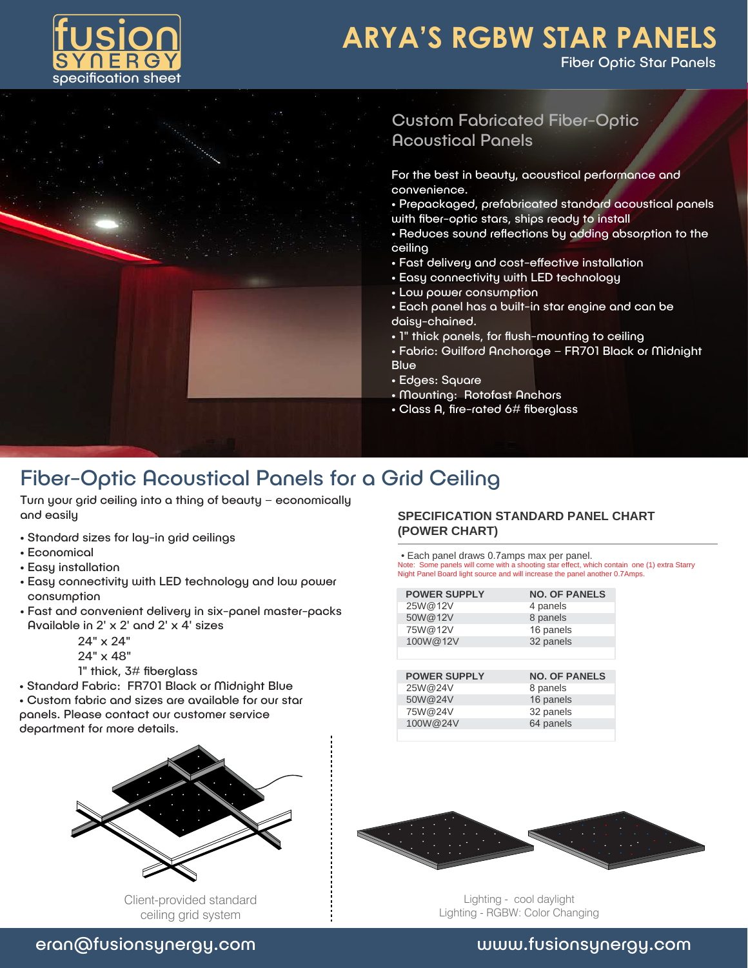

Fiber Optic Star Panels



### Custom Fabricated Fiber-Optic Acoustical Panels

For the best in beauty, acoustical performance and convenience.

- Prepackaged, prefabricated standard acoustical panels with fiber-optic stars, ships ready to install
- Reduces sound reflections by adding absorption to the ceiling
- Fast delivery and cost-effective installation
- Easy connectivity with LED technology
- Low power consumption
- Each panel has a built-in star engine and can be daisy-chained.
- 1" thick panels, for flush-mounting to ceiling
- Fabric: Guilford Anchorage FR701 Black or Midnight **Blue**
- Edges: Square
- Mounting: Rotofast Anchors
- Class A, fire-rated 6# fiberglass

## Fiber-Optic Acoustical Panels for a Grid Ceiling

Turn your grid ceiling into a thing of beauty – economically and easily

- Standard sizes for lay-in grid ceilings
- Economical
- Easy installation
- Easy connectivity with LED technology and low power consumption
- Fast and convenient delivery in six-panel master-packs Available in 2' x 2' and 2' x 4' sizes

24" x 24"

- 24" x 48"
- 1" thick, 3# fiberglass
- Standard Fabric: FR701 Black or Midnight Blue
- Custom fabric and sizes are available for our star panels. Please contact our customer service department for more details.



Client-provided standard ceiling grid system

### **SPECIFICATION STANDARD PANEL CHART (POWER CHART)**

• Each panel draws 0.7amps max per panel.

Note: Some panels will come with a shooting star effect, which contain one (1) extra Starry Night Panel Board light source and will increase the panel another 0.7Amps.

| <b>POWER SUPPLY</b> | <b>NO. OF PANELS</b> |
|---------------------|----------------------|
| 25W@12V             | 4 panels             |
| 50W@12V             | 8 panels             |
| 75W@12V             | 16 panels            |
| 100W@12V            | 32 panels            |
|                     |                      |
|                     |                      |
| <b>POWER SUPPLY</b> | <b>NO. OF PANELS</b> |
| 25W@24V             | 8 panels             |
| 50W@24V             | 16 panels            |
|                     |                      |

100W@24V 64 panels



Lighting - cool daylight Lighting - RGBW: Color Changing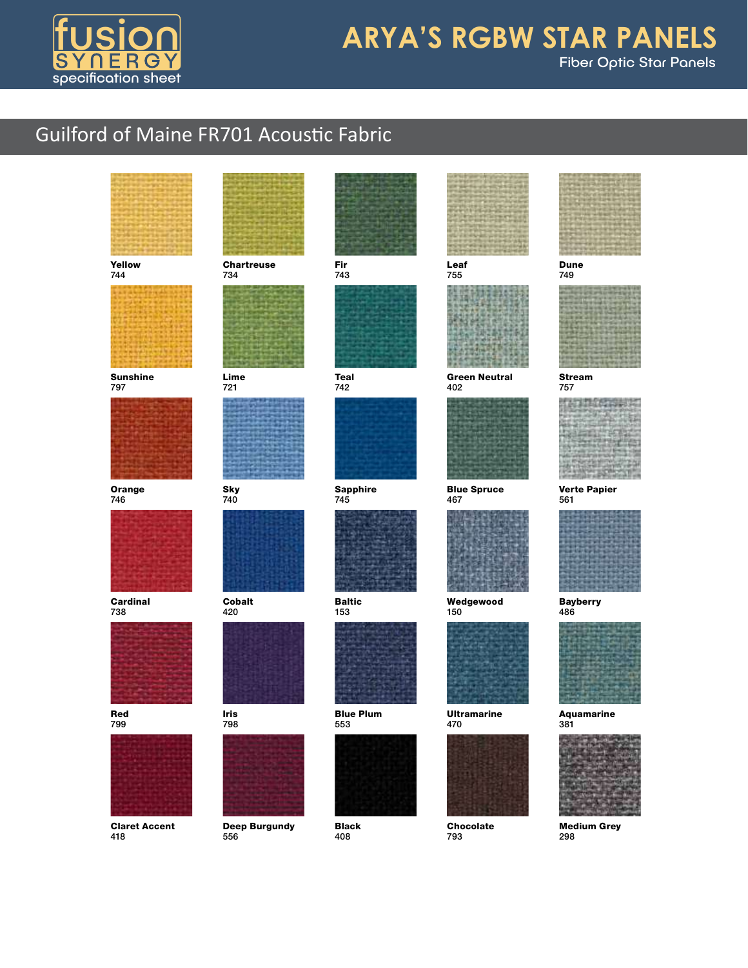

# Fiber Optic Star Panels **ARYA'S RGBW STAR PANELS**

# **Guilford of Maine FR701 Acoustic Fabric**

®



Yellow 744



Sunshine 797



Orange 746



**Cardinal** 738



Red 799



Claret Accent 418



**Chartreuse** 734



Lime 721



Sky 740



Cobalt 420



Iris 798



Deep Burgundy 556



Fir 743



Teal 742



Sapphire 745



Baltic 153



Blue Plum 553



Black 408





Green Neutral 402



Blue Spruce 467



Wedgewood 150



Ultramarine



Chocolate 793



#### Dune 749



Stream 757

Verte Papier 561



Bayberry





Medium Grey 298





470

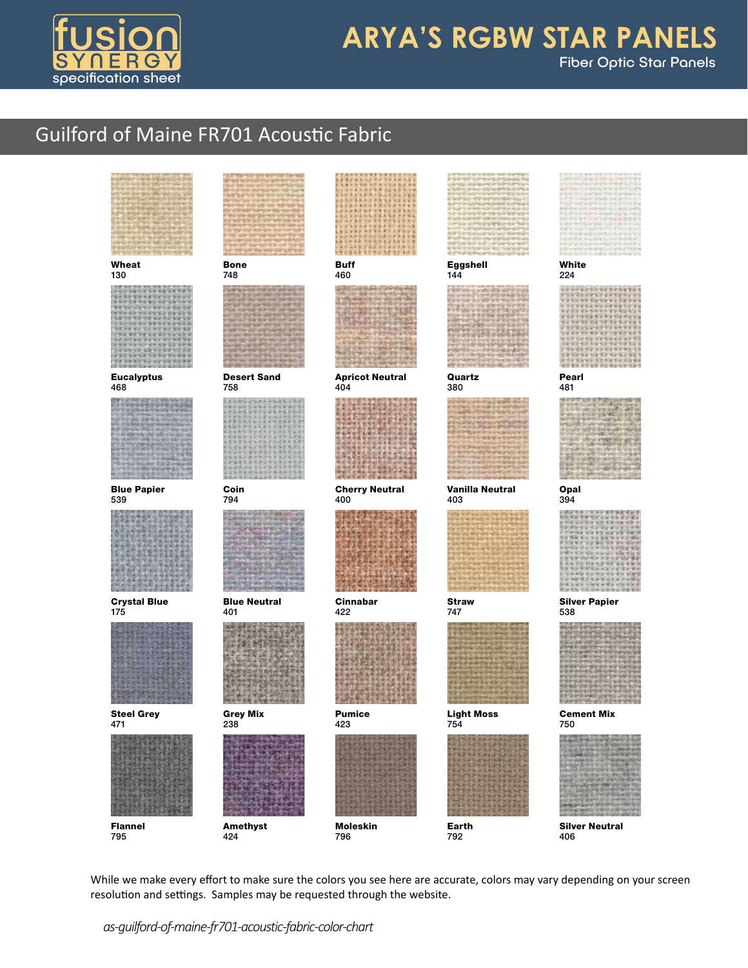

## **ARYA'S RGBW STAR PANELS** Fiber Optic Star Panels

## Guilford of Maine FR701 Acoustic Fabric

| Wheat<br>130               | <b>Bone</b><br>748         | <b>Buff</b><br>460            | Eggshell<br>144          | White<br>224                 |
|----------------------------|----------------------------|-------------------------------|--------------------------|------------------------------|
|                            |                            |                               |                          |                              |
| <b>Eucalyptus</b><br>468   | <b>Desert Sand</b><br>758  | <b>Apricot Neutral</b><br>404 | Quartz<br>380            | Pearl<br>481                 |
|                            |                            |                               |                          |                              |
| <b>Blue Papier</b><br>539  | Coin<br>794                | <b>Cherry Neutral</b><br>400  | Vanilla Neutral<br>403   | Opal<br>394                  |
|                            |                            |                               |                          |                              |
| <b>Crystal Blue</b><br>175 | <b>Blue Neutral</b><br>401 | Cinnabar<br>422               | <b>Straw</b><br>747      | <b>Silver Papier</b><br>538  |
|                            |                            |                               |                          |                              |
| <b>Steel Grey</b><br>471   | <b>Grey Mix</b><br>238     | <b>Pumice</b><br>423          | <b>Light Moss</b><br>754 | Cement Mi<br>750             |
|                            |                            |                               |                          |                              |
| Flannel<br>795             | <b>Amethyst</b><br>424     | <b>Moleskin</b><br>796        | Earth<br>792             | <b>Silver Neutral</b><br>406 |

While we make every effort to make sure the colors you see here are accurate, colors may vary depending on your screen resolution and settings. Samples may be requested through the website.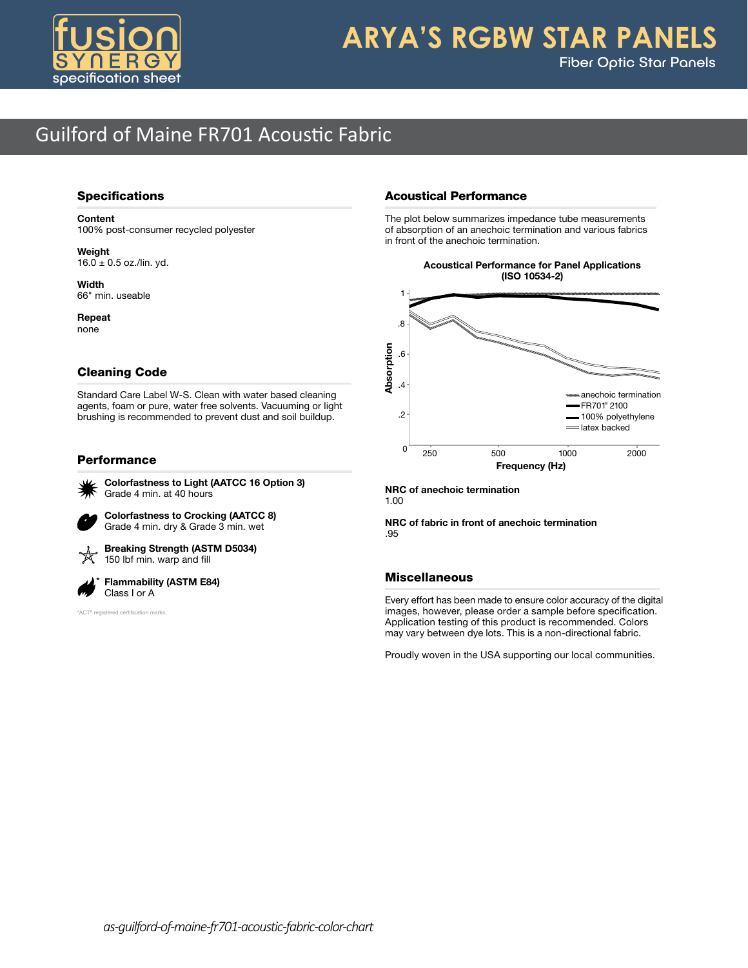

### **ARYA'S RGBW STAR PANELS** Fiber Optic Star Panels

### Guilford of Maine FR701 Acoustic Fabric  $-$

#### Specifications

#### Content

100% post-consumer recycled polyester

Weight  $16.0 \pm 0.5$  oz./lin. yd.

Width 66" min. useable

Repeat none

### Cleaning Code

Standard Care Label W-S. Clean with water based cleaning agents, foam or pure, water free solvents. Vacuuming or light brushing is recommended to prevent dust and soil buildup.

#### Performance



 Colorfastness to Light (AATCC 16 Option 3) Grade 4 min. at 40 hours

 Colorfastness to Crocking (AATCC 8) Grade 4 min. dry & Grade 3 min. wet



 Breaking Strength (ASTM D5034) 150 lbf min. warp and fill

 Flammability (ASTM E84) Class I or A

\*ACT® registered certification marks

### Acoustical Performance

The plot below summarizes impedance tube measurements of absorption of an anechoic termination and various fabrics in front of the anechoic termination.

> Acoustical Performance for Panel Applications (ISO 10534-2)

Panel



NRC of anechoic termination 1.00

NRC of fabric in front of anechoic termination .95

#### Miscellaneous

Every effort has been made to ensure color accuracy of the digital images, however, please order a sample before specification. Application testing of this product is recommended. Colors may vary between dye lots. This is a non-directional fabric.

Proudly woven in the USA supporting our local communities.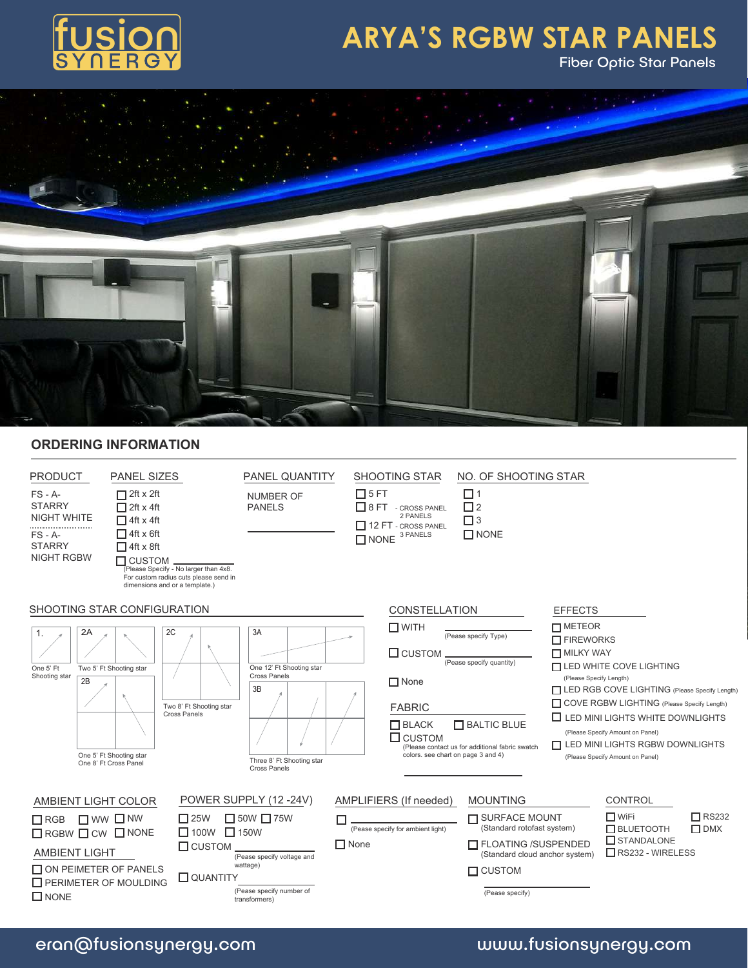

Fiber Optic Star Panels



### **ORDERING INFORMATION**